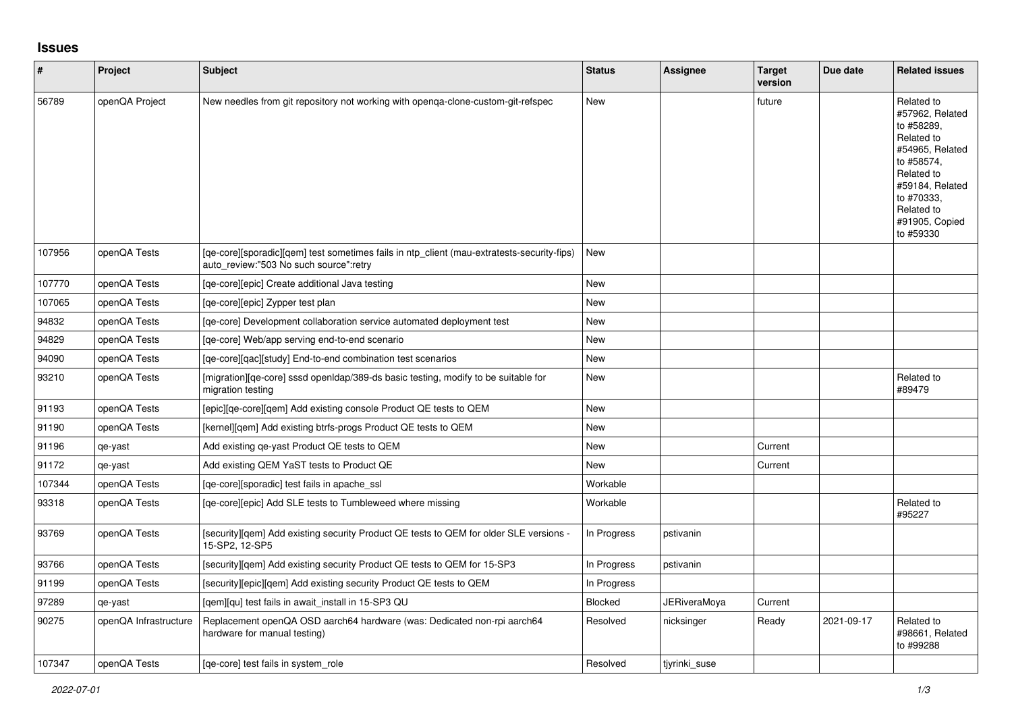## **Issues**

| $\vert$ # | Project               | <b>Subject</b>                                                                                                                       | <b>Status</b> | <b>Assignee</b> | <b>Target</b><br>version | Due date   | <b>Related issues</b>                                                                                                                                                                  |
|-----------|-----------------------|--------------------------------------------------------------------------------------------------------------------------------------|---------------|-----------------|--------------------------|------------|----------------------------------------------------------------------------------------------------------------------------------------------------------------------------------------|
| 56789     | openQA Project        | New needles from git repository not working with openga-clone-custom-git-refspec                                                     | New           |                 | future                   |            | Related to<br>#57962, Related<br>to #58289,<br>Related to<br>#54965, Related<br>to #58574,<br>Related to<br>#59184, Related<br>to #70333,<br>Related to<br>#91905, Copied<br>to #59330 |
| 107956    | openQA Tests          | [qe-core][sporadic][qem] test sometimes fails in ntp_client (mau-extratests-security-fips)<br>auto review:"503 No such source":retry | New           |                 |                          |            |                                                                                                                                                                                        |
| 107770    | openQA Tests          | [qe-core][epic] Create additional Java testing                                                                                       | New           |                 |                          |            |                                                                                                                                                                                        |
| 107065    | openQA Tests          | [ge-core][epic] Zypper test plan                                                                                                     | <b>New</b>    |                 |                          |            |                                                                                                                                                                                        |
| 94832     | openQA Tests          | [ge-core] Development collaboration service automated deployment test                                                                | New           |                 |                          |            |                                                                                                                                                                                        |
| 94829     | openQA Tests          | [ge-core] Web/app serving end-to-end scenario                                                                                        | New           |                 |                          |            |                                                                                                                                                                                        |
| 94090     | openQA Tests          | [qe-core][qac][study] End-to-end combination test scenarios                                                                          | <b>New</b>    |                 |                          |            |                                                                                                                                                                                        |
| 93210     | openQA Tests          | [migration][ge-core] sssd open dap/389-ds basic testing, modify to be suitable for<br>migration testing                              | New           |                 |                          |            | Related to<br>#89479                                                                                                                                                                   |
| 91193     | openQA Tests          | [epic][qe-core][qem] Add existing console Product QE tests to QEM                                                                    | <b>New</b>    |                 |                          |            |                                                                                                                                                                                        |
| 91190     | openQA Tests          | [kernel][qem] Add existing btrfs-progs Product QE tests to QEM                                                                       | New           |                 |                          |            |                                                                                                                                                                                        |
| 91196     | qe-yast               | Add existing qe-yast Product QE tests to QEM                                                                                         | New           |                 | Current                  |            |                                                                                                                                                                                        |
| 91172     | qe-yast               | Add existing QEM YaST tests to Product QE                                                                                            | New           |                 | Current                  |            |                                                                                                                                                                                        |
| 107344    | openQA Tests          | [ge-core][sporadic] test fails in apache ssl                                                                                         | Workable      |                 |                          |            |                                                                                                                                                                                        |
| 93318     | openQA Tests          | [ge-core][epic] Add SLE tests to Tumbleweed where missing                                                                            | Workable      |                 |                          |            | Related to<br>#95227                                                                                                                                                                   |
| 93769     | openQA Tests          | [security][qem] Add existing security Product QE tests to QEM for older SLE versions -<br>15-SP2, 12-SP5                             | In Progress   | pstivanin       |                          |            |                                                                                                                                                                                        |
| 93766     | openQA Tests          | [security][qem] Add existing security Product QE tests to QEM for 15-SP3                                                             | In Progress   | pstivanin       |                          |            |                                                                                                                                                                                        |
| 91199     | openQA Tests          | [security][epic][gem] Add existing security Product QE tests to QEM                                                                  | In Progress   |                 |                          |            |                                                                                                                                                                                        |
| 97289     | qe-yast               | [qem][qu] test fails in await_install in 15-SP3 QU                                                                                   | Blocked       | JERiveraMoya    | Current                  |            |                                                                                                                                                                                        |
| 90275     | openQA Infrastructure | Replacement openQA OSD aarch64 hardware (was: Dedicated non-rpi aarch64<br>hardware for manual testing)                              | Resolved      | nicksinger      | Ready                    | 2021-09-17 | Related to<br>#98661, Related<br>to #99288                                                                                                                                             |
| 107347    | openQA Tests          | [ge-core] test fails in system role                                                                                                  | Resolved      | tivrinki suse   |                          |            |                                                                                                                                                                                        |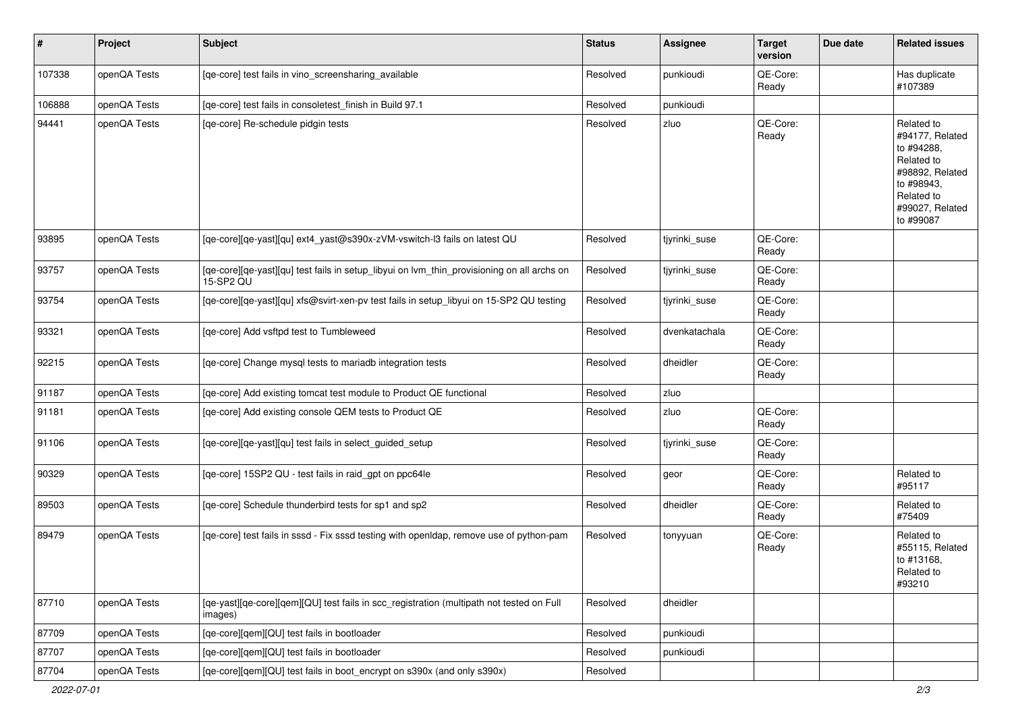| $\vert$ # | Project      | <b>Subject</b>                                                                                          | <b>Status</b> | Assignee      | <b>Target</b><br>version | Due date | <b>Related issues</b>                                                                                                                    |
|-----------|--------------|---------------------------------------------------------------------------------------------------------|---------------|---------------|--------------------------|----------|------------------------------------------------------------------------------------------------------------------------------------------|
| 107338    | openQA Tests | [qe-core] test fails in vino_screensharing_available                                                    | Resolved      | punkioudi     | QE-Core:<br>Ready        |          | Has duplicate<br>#107389                                                                                                                 |
| 106888    | openQA Tests | [qe-core] test fails in consoletest_finish in Build 97.1                                                | Resolved      | punkioudi     |                          |          |                                                                                                                                          |
| 94441     | openQA Tests | [qe-core] Re-schedule pidgin tests                                                                      | Resolved      | zluo          | QE-Core:<br>Ready        |          | Related to<br>#94177, Related<br>to #94288,<br>Related to<br>#98892, Related<br>to #98943,<br>Related to<br>#99027, Related<br>to #99087 |
| 93895     | openQA Tests | [qe-core][qe-yast][qu] ext4_yast@s390x-zVM-vswitch-l3 fails on latest QU                                | Resolved      | tjyrinki_suse | QE-Core:<br>Ready        |          |                                                                                                                                          |
| 93757     | openQA Tests | [qe-core][qe-yast][qu] test fails in setup_libyui on lvm_thin_provisioning on all archs on<br>15-SP2 QU | Resolved      | tiyrinki suse | QE-Core:<br>Ready        |          |                                                                                                                                          |
| 93754     | openQA Tests | [qe-core][qe-yast][qu] xfs@svirt-xen-pv test fails in setup_libyui on 15-SP2 QU testing                 | Resolved      | tjyrinki_suse | QE-Core:<br>Ready        |          |                                                                                                                                          |
| 93321     | openQA Tests | [ge-core] Add vsftpd test to Tumbleweed                                                                 | Resolved      | dvenkatachala | QE-Core:<br>Ready        |          |                                                                                                                                          |
| 92215     | openQA Tests | [qe-core] Change mysql tests to mariadb integration tests                                               | Resolved      | dheidler      | QE-Core:<br>Ready        |          |                                                                                                                                          |
| 91187     | openQA Tests | [qe-core] Add existing tomcat test module to Product QE functional                                      | Resolved      | zluo          |                          |          |                                                                                                                                          |
| 91181     | openQA Tests | [qe-core] Add existing console QEM tests to Product QE                                                  | Resolved      | zluo          | QE-Core:<br>Ready        |          |                                                                                                                                          |
| 91106     | openQA Tests | [qe-core][qe-yast][qu] test fails in select_guided_setup                                                | Resolved      | tjyrinki_suse | QE-Core:<br>Ready        |          |                                                                                                                                          |
| 90329     | openQA Tests | [qe-core] 15SP2 QU - test fails in raid_gpt on ppc64le                                                  | Resolved      | geor          | QE-Core:<br>Ready        |          | Related to<br>#95117                                                                                                                     |
| 89503     | openQA Tests | [qe-core] Schedule thunderbird tests for sp1 and sp2                                                    | Resolved      | dheidler      | QE-Core:<br>Ready        |          | Related to<br>#75409                                                                                                                     |
| 89479     | openQA Tests | [qe-core] test fails in sssd - Fix sssd testing with openIdap, remove use of python-pam                 | Resolved      | tonyyuan      | QE-Core:<br>Ready        |          | Related to<br>#55115, Related<br>to #13168,<br>Related to<br>#93210                                                                      |
| 87710     | openQA Tests | [qe-yast][qe-core][qem][QU] test fails in scc_registration (multipath not tested on Full<br>images)     | Resolved      | dheidler      |                          |          |                                                                                                                                          |
| 87709     | openQA Tests | [qe-core][qem][QU] test fails in bootloader                                                             | Resolved      | punkioudi     |                          |          |                                                                                                                                          |
| 87707     | openQA Tests | [qe-core][qem][QU] test fails in bootloader                                                             | Resolved      | punkioudi     |                          |          |                                                                                                                                          |
| 87704     | openQA Tests | [qe-core][qem][QU] test fails in boot_encrypt on s390x (and only s390x)                                 | Resolved      |               |                          |          |                                                                                                                                          |